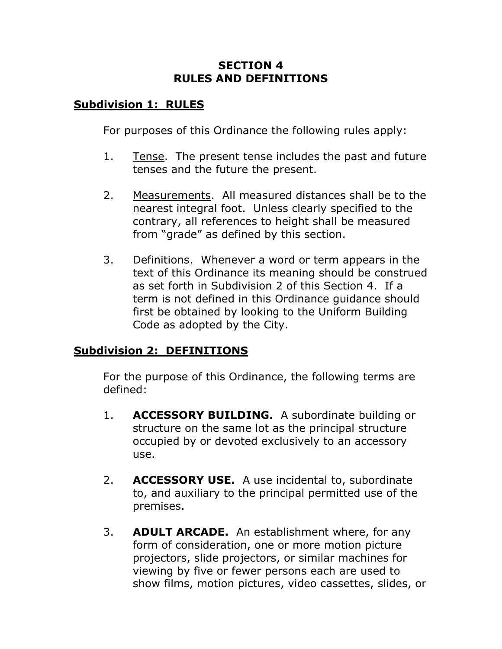## **SECTION 4 RULES AND DEFINITIONS**

## **Subdivision 1: RULES**

For purposes of this Ordinance the following rules apply:

- 1. Tense. The present tense includes the past and future tenses and the future the present.
- 2. Measurements. All measured distances shall be to the nearest integral foot. Unless clearly specified to the contrary, all references to height shall be measured from "grade" as defined by this section.
- 3. Definitions. Whenever a word or term appears in the text of this Ordinance its meaning should be construed as set forth in Subdivision 2 of this Section 4. If a term is not defined in this Ordinance guidance should first be obtained by looking to the Uniform Building Code as adopted by the City.

## **Subdivision 2: DEFINITIONS**

For the purpose of this Ordinance, the following terms are defined:

- 1. **ACCESSORY BUILDING.** A subordinate building or structure on the same lot as the principal structure occupied by or devoted exclusively to an accessory use.
- 2. **ACCESSORY USE.** A use incidental to, subordinate to, and auxiliary to the principal permitted use of the premises.
- 3. **ADULT ARCADE.** An establishment where, for any form of consideration, one or more motion picture projectors, slide projectors, or similar machines for viewing by five or fewer persons each are used to show films, motion pictures, video cassettes, slides, or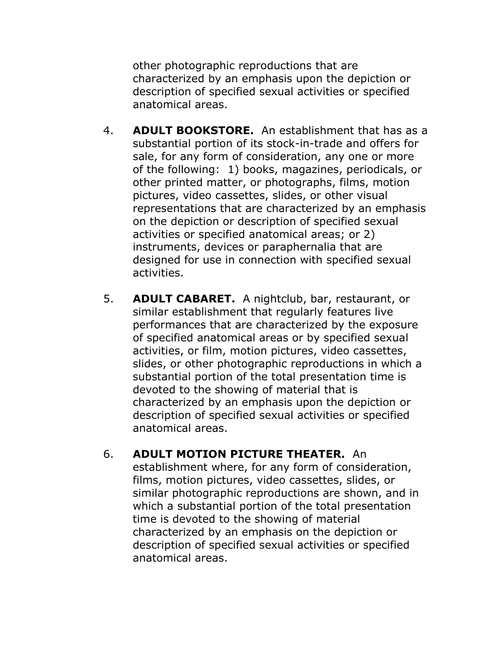other photographic reproductions that are characterized by an emphasis upon the depiction or description of specified sexual activities or specified anatomical areas.

- 4. **ADULT BOOKSTORE.** An establishment that has as a substantial portion of its stock-in-trade and offers for sale, for any form of consideration, any one or more of the following: 1) books, magazines, periodicals, or other printed matter, or photographs, films, motion pictures, video cassettes, slides, or other visual representations that are characterized by an emphasis on the depiction or description of specified sexual activities or specified anatomical areas; or 2) instruments, devices or paraphernalia that are designed for use in connection with specified sexual activities.
- 5. **ADULT CABARET.** A nightclub, bar, restaurant, or similar establishment that regularly features live performances that are characterized by the exposure of specified anatomical areas or by specified sexual activities, or film, motion pictures, video cassettes, slides, or other photographic reproductions in which a substantial portion of the total presentation time is devoted to the showing of material that is characterized by an emphasis upon the depiction or description of specified sexual activities or specified anatomical areas.
- 6. **ADULT MOTION PICTURE THEATER.** An establishment where, for any form of consideration, films, motion pictures, video cassettes, slides, or similar photographic reproductions are shown, and in which a substantial portion of the total presentation time is devoted to the showing of material characterized by an emphasis on the depiction or description of specified sexual activities or specified anatomical areas.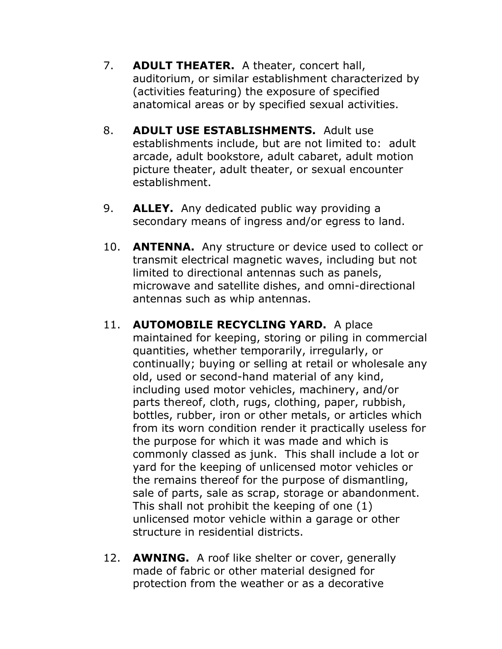- 7. **ADULT THEATER.** A theater, concert hall, auditorium, or similar establishment characterized by (activities featuring) the exposure of specified anatomical areas or by specified sexual activities.
- 8. **ADULT USE ESTABLISHMENTS.** Adult use establishments include, but are not limited to: adult arcade, adult bookstore, adult cabaret, adult motion picture theater, adult theater, or sexual encounter establishment.
- 9. **ALLEY.** Any dedicated public way providing a secondary means of ingress and/or egress to land.
- 10. **ANTENNA.** Any structure or device used to collect or transmit electrical magnetic waves, including but not limited to directional antennas such as panels, microwave and satellite dishes, and omni-directional antennas such as whip antennas.
- 11. **AUTOMOBILE RECYCLING YARD.** A place maintained for keeping, storing or piling in commercial quantities, whether temporarily, irregularly, or continually; buying or selling at retail or wholesale any old, used or second-hand material of any kind, including used motor vehicles, machinery, and/or parts thereof, cloth, rugs, clothing, paper, rubbish, bottles, rubber, iron or other metals, or articles which from its worn condition render it practically useless for the purpose for which it was made and which is commonly classed as junk. This shall include a lot or yard for the keeping of unlicensed motor vehicles or the remains thereof for the purpose of dismantling, sale of parts, sale as scrap, storage or abandonment. This shall not prohibit the keeping of one (1) unlicensed motor vehicle within a garage or other structure in residential districts.
- 12. **AWNING.** A roof like shelter or cover, generally made of fabric or other material designed for protection from the weather or as a decorative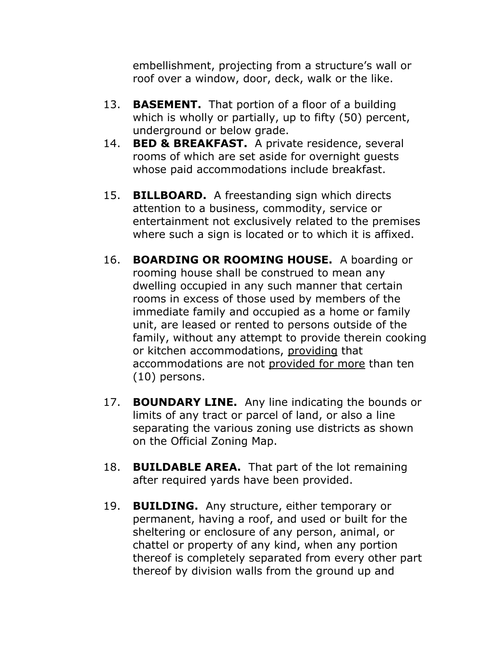embellishment, projecting from a structure's wall or roof over a window, door, deck, walk or the like.

- 13. **BASEMENT.** That portion of a floor of a building which is wholly or partially, up to fifty (50) percent, underground or below grade.
- 14. **BED & BREAKFAST.** A private residence, several rooms of which are set aside for overnight guests whose paid accommodations include breakfast.
- 15. **BILLBOARD.** A freestanding sign which directs attention to a business, commodity, service or entertainment not exclusively related to the premises where such a sign is located or to which it is affixed.
- 16. **BOARDING OR ROOMING HOUSE.** A boarding or rooming house shall be construed to mean any dwelling occupied in any such manner that certain rooms in excess of those used by members of the immediate family and occupied as a home or family unit, are leased or rented to persons outside of the family, without any attempt to provide therein cooking or kitchen accommodations, providing that accommodations are not provided for more than ten (10) persons.
- 17. **BOUNDARY LINE.** Any line indicating the bounds or limits of any tract or parcel of land, or also a line separating the various zoning use districts as shown on the Official Zoning Map.
- 18. **BUILDABLE AREA.** That part of the lot remaining after required yards have been provided.
- 19. **BUILDING.** Any structure, either temporary or permanent, having a roof, and used or built for the sheltering or enclosure of any person, animal, or chattel or property of any kind, when any portion thereof is completely separated from every other part thereof by division walls from the ground up and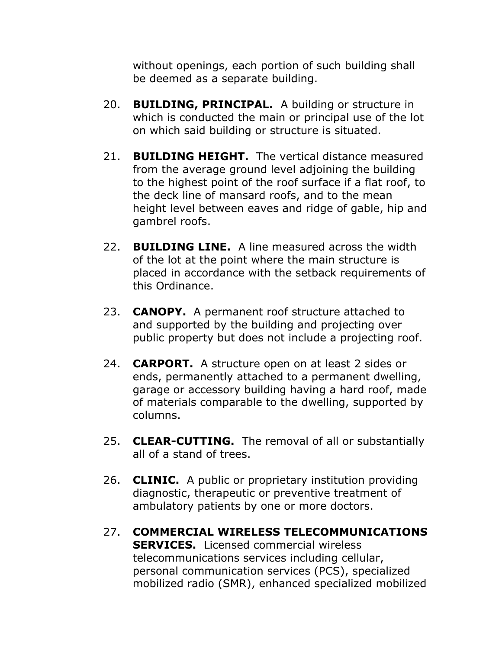without openings, each portion of such building shall be deemed as a separate building.

- 20. **BUILDING, PRINCIPAL.** A building or structure in which is conducted the main or principal use of the lot on which said building or structure is situated.
- 21. **BUILDING HEIGHT.** The vertical distance measured from the average ground level adjoining the building to the highest point of the roof surface if a flat roof, to the deck line of mansard roofs, and to the mean height level between eaves and ridge of gable, hip and gambrel roofs.
- 22. **BUILDING LINE.** A line measured across the width of the lot at the point where the main structure is placed in accordance with the setback requirements of this Ordinance.
- 23. **CANOPY.** A permanent roof structure attached to and supported by the building and projecting over public property but does not include a projecting roof.
- 24. **CARPORT.** A structure open on at least 2 sides or ends, permanently attached to a permanent dwelling, garage or accessory building having a hard roof, made of materials comparable to the dwelling, supported by columns.
- 25. **CLEAR-CUTTING.** The removal of all or substantially all of a stand of trees.
- 26. **CLINIC.** A public or proprietary institution providing diagnostic, therapeutic or preventive treatment of ambulatory patients by one or more doctors.
- 27. **COMMERCIAL WIRELESS TELECOMMUNICATIONS SERVICES.** Licensed commercial wireless telecommunications services including cellular, personal communication services (PCS), specialized mobilized radio (SMR), enhanced specialized mobilized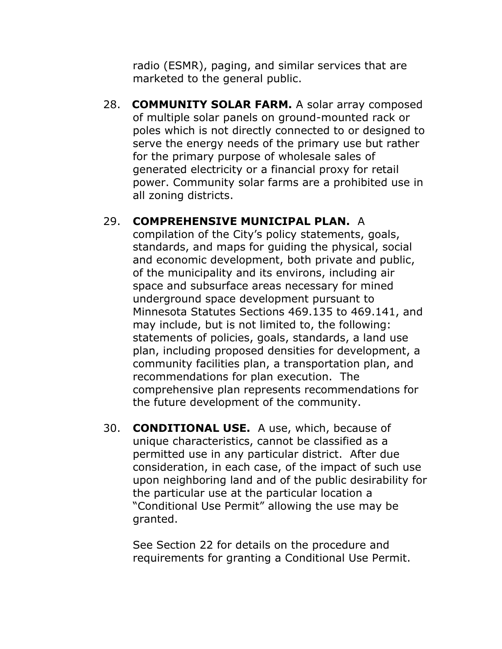radio (ESMR), paging, and similar services that are marketed to the general public.

28. **COMMUNITY SOLAR FARM.** A solar array composed of multiple solar panels on ground-mounted rack or poles which is not directly connected to or designed to serve the energy needs of the primary use but rather for the primary purpose of wholesale sales of generated electricity or a financial proxy for retail power. Community solar farms are a prohibited use in all zoning districts.

## 29. **COMPREHENSIVE MUNICIPAL PLAN.** A

compilation of the City's policy statements, goals, standards, and maps for guiding the physical, social and economic development, both private and public, of the municipality and its environs, including air space and subsurface areas necessary for mined underground space development pursuant to Minnesota Statutes Sections 469.135 to 469.141, and may include, but is not limited to, the following: statements of policies, goals, standards, a land use plan, including proposed densities for development, a community facilities plan, a transportation plan, and recommendations for plan execution. The comprehensive plan represents recommendations for the future development of the community.

30. **CONDITIONAL USE.** A use, which, because of unique characteristics, cannot be classified as a permitted use in any particular district. After due consideration, in each case, of the impact of such use upon neighboring land and of the public desirability for the particular use at the particular location a "Conditional Use Permit" allowing the use may be granted.

See Section 22 for details on the procedure and requirements for granting a Conditional Use Permit.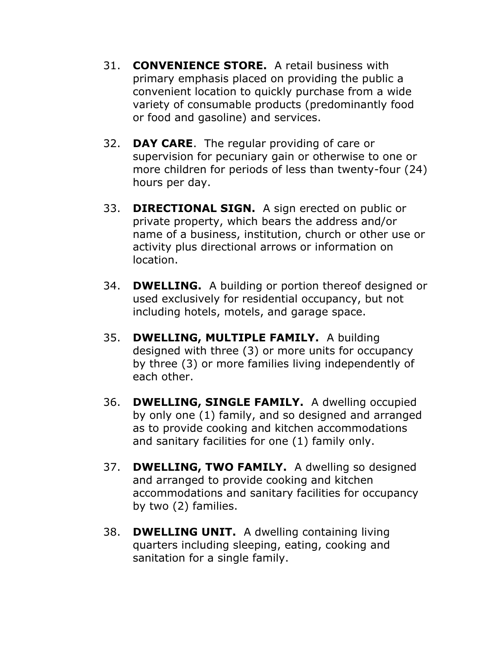- 31. **CONVENIENCE STORE.** A retail business with primary emphasis placed on providing the public a convenient location to quickly purchase from a wide variety of consumable products (predominantly food or food and gasoline) and services.
- 32. **DAY CARE**. The regular providing of care or supervision for pecuniary gain or otherwise to one or more children for periods of less than twenty-four (24) hours per day.
- 33. **DIRECTIONAL SIGN.** A sign erected on public or private property, which bears the address and/or name of a business, institution, church or other use or activity plus directional arrows or information on location.
- 34. **DWELLING.** A building or portion thereof designed or used exclusively for residential occupancy, but not including hotels, motels, and garage space.
- 35. **DWELLING, MULTIPLE FAMILY.** A building designed with three (3) or more units for occupancy by three (3) or more families living independently of each other.
- 36. **DWELLING, SINGLE FAMILY.** A dwelling occupied by only one (1) family, and so designed and arranged as to provide cooking and kitchen accommodations and sanitary facilities for one (1) family only.
- 37. **DWELLING, TWO FAMILY.** A dwelling so designed and arranged to provide cooking and kitchen accommodations and sanitary facilities for occupancy by two (2) families.
- 38. **DWELLING UNIT.** A dwelling containing living quarters including sleeping, eating, cooking and sanitation for a single family.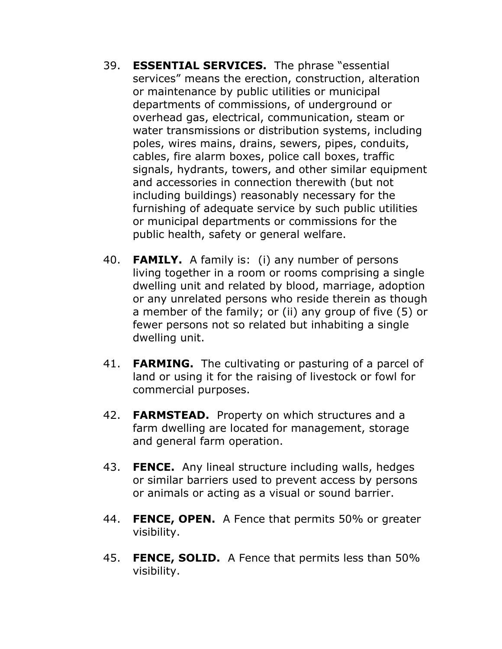- 39. **ESSENTIAL SERVICES.** The phrase "essential services" means the erection, construction, alteration or maintenance by public utilities or municipal departments of commissions, of underground or overhead gas, electrical, communication, steam or water transmissions or distribution systems, including poles, wires mains, drains, sewers, pipes, conduits, cables, fire alarm boxes, police call boxes, traffic signals, hydrants, towers, and other similar equipment and accessories in connection therewith (but not including buildings) reasonably necessary for the furnishing of adequate service by such public utilities or municipal departments or commissions for the public health, safety or general welfare.
- 40. **FAMILY.** A family is: (i) any number of persons living together in a room or rooms comprising a single dwelling unit and related by blood, marriage, adoption or any unrelated persons who reside therein as though a member of the family; or (ii) any group of five (5) or fewer persons not so related but inhabiting a single dwelling unit.
- 41. **FARMING.** The cultivating or pasturing of a parcel of land or using it for the raising of livestock or fowl for commercial purposes.
- 42. **FARMSTEAD.** Property on which structures and a farm dwelling are located for management, storage and general farm operation.
- 43. **FENCE.** Any lineal structure including walls, hedges or similar barriers used to prevent access by persons or animals or acting as a visual or sound barrier.
- 44. **FENCE, OPEN.** A Fence that permits 50% or greater visibility.
- 45. **FENCE, SOLID.** A Fence that permits less than 50% visibility.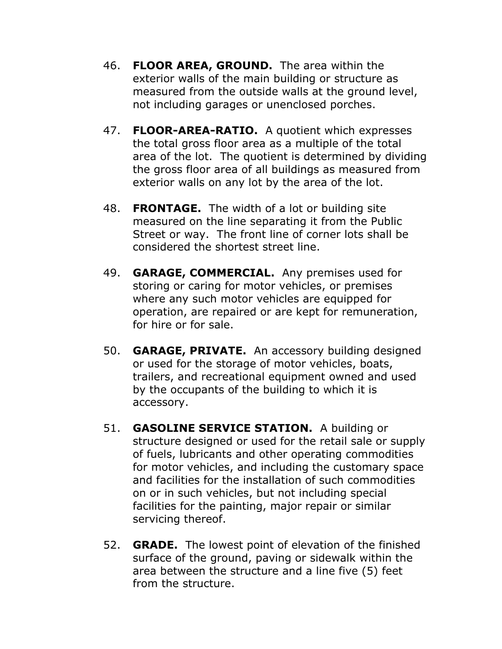- 46. **FLOOR AREA, GROUND.** The area within the exterior walls of the main building or structure as measured from the outside walls at the ground level, not including garages or unenclosed porches.
- 47. **FLOOR-AREA-RATIO.** A quotient which expresses the total gross floor area as a multiple of the total area of the lot. The quotient is determined by dividing the gross floor area of all buildings as measured from exterior walls on any lot by the area of the lot.
- 48. **FRONTAGE.** The width of a lot or building site measured on the line separating it from the Public Street or way. The front line of corner lots shall be considered the shortest street line.
- 49. **GARAGE, COMMERCIAL.** Any premises used for storing or caring for motor vehicles, or premises where any such motor vehicles are equipped for operation, are repaired or are kept for remuneration, for hire or for sale.
- 50. **GARAGE, PRIVATE.** An accessory building designed or used for the storage of motor vehicles, boats, trailers, and recreational equipment owned and used by the occupants of the building to which it is accessory.
- 51. **GASOLINE SERVICE STATION.** A building or structure designed or used for the retail sale or supply of fuels, lubricants and other operating commodities for motor vehicles, and including the customary space and facilities for the installation of such commodities on or in such vehicles, but not including special facilities for the painting, major repair or similar servicing thereof.
- 52. **GRADE.** The lowest point of elevation of the finished surface of the ground, paving or sidewalk within the area between the structure and a line five (5) feet from the structure.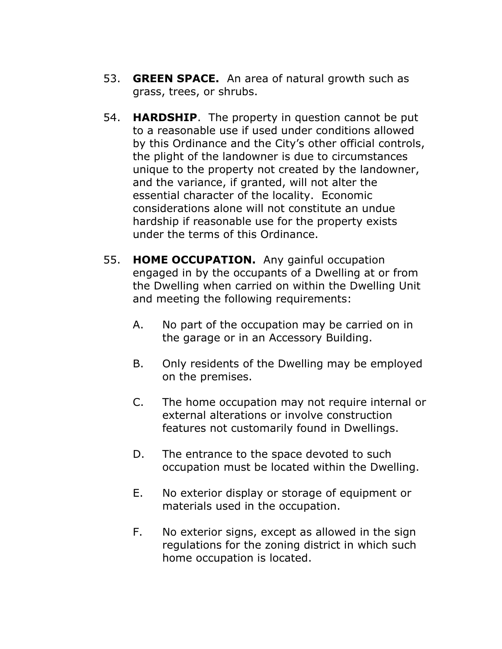- 53. **GREEN SPACE.** An area of natural growth such as grass, trees, or shrubs.
- 54. **HARDSHIP**. The property in question cannot be put to a reasonable use if used under conditions allowed by this Ordinance and the City's other official controls, the plight of the landowner is due to circumstances unique to the property not created by the landowner, and the variance, if granted, will not alter the essential character of the locality. Economic considerations alone will not constitute an undue hardship if reasonable use for the property exists under the terms of this Ordinance.
- 55. **HOME OCCUPATION.** Any gainful occupation engaged in by the occupants of a Dwelling at or from the Dwelling when carried on within the Dwelling Unit and meeting the following requirements:
	- A. No part of the occupation may be carried on in the garage or in an Accessory Building.
	- B. Only residents of the Dwelling may be employed on the premises.
	- C. The home occupation may not require internal or external alterations or involve construction features not customarily found in Dwellings.
	- D. The entrance to the space devoted to such occupation must be located within the Dwelling.
	- E. No exterior display or storage of equipment or materials used in the occupation.
	- F. No exterior signs, except as allowed in the sign regulations for the zoning district in which such home occupation is located.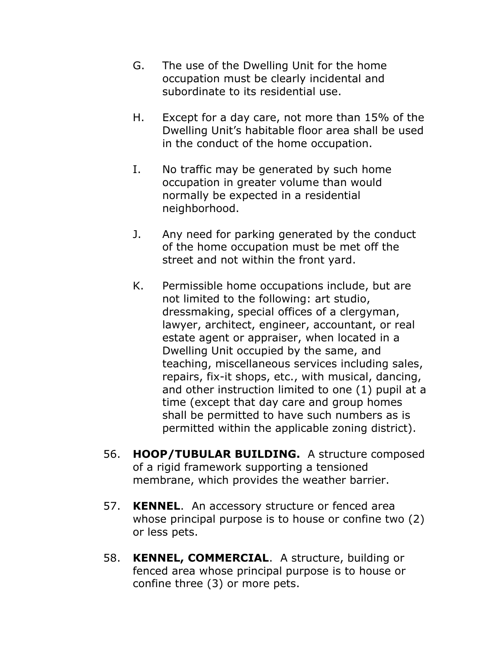- G. The use of the Dwelling Unit for the home occupation must be clearly incidental and subordinate to its residential use.
- H. Except for a day care, not more than 15% of the Dwelling Unit's habitable floor area shall be used in the conduct of the home occupation.
- I. No traffic may be generated by such home occupation in greater volume than would normally be expected in a residential neighborhood.
- J. Any need for parking generated by the conduct of the home occupation must be met off the street and not within the front yard.
- K. Permissible home occupations include, but are not limited to the following: art studio, dressmaking, special offices of a clergyman, lawyer, architect, engineer, accountant, or real estate agent or appraiser, when located in a Dwelling Unit occupied by the same, and teaching, miscellaneous services including sales, repairs, fix-it shops, etc., with musical, dancing, and other instruction limited to one (1) pupil at a time (except that day care and group homes shall be permitted to have such numbers as is permitted within the applicable zoning district).
- 56. **HOOP/TUBULAR BUILDING.** A structure composed of a rigid framework supporting a tensioned membrane, which provides the weather barrier.
- 57. **KENNEL**. An accessory structure or fenced area whose principal purpose is to house or confine two (2) or less pets.
- 58. **KENNEL, COMMERCIAL**. A structure, building or fenced area whose principal purpose is to house or confine three (3) or more pets.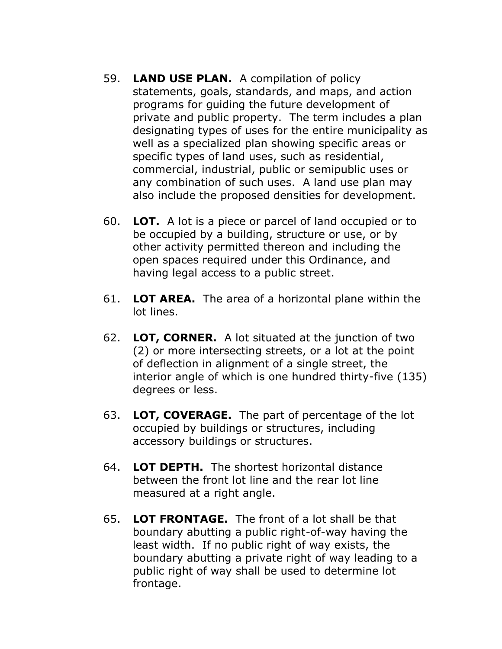- 59. **LAND USE PLAN.** A compilation of policy statements, goals, standards, and maps, and action programs for guiding the future development of private and public property. The term includes a plan designating types of uses for the entire municipality as well as a specialized plan showing specific areas or specific types of land uses, such as residential, commercial, industrial, public or semipublic uses or any combination of such uses. A land use plan may also include the proposed densities for development.
- 60. **LOT.** A lot is a piece or parcel of land occupied or to be occupied by a building, structure or use, or by other activity permitted thereon and including the open spaces required under this Ordinance, and having legal access to a public street.
- 61. **LOT AREA.** The area of a horizontal plane within the lot lines.
- 62. **LOT, CORNER.** A lot situated at the junction of two (2) or more intersecting streets, or a lot at the point of deflection in alignment of a single street, the interior angle of which is one hundred thirty-five (135) degrees or less.
- 63. **LOT, COVERAGE.** The part of percentage of the lot occupied by buildings or structures, including accessory buildings or structures.
- 64. **LOT DEPTH.** The shortest horizontal distance between the front lot line and the rear lot line measured at a right angle.
- 65. **LOT FRONTAGE.** The front of a lot shall be that boundary abutting a public right-of-way having the least width. If no public right of way exists, the boundary abutting a private right of way leading to a public right of way shall be used to determine lot frontage.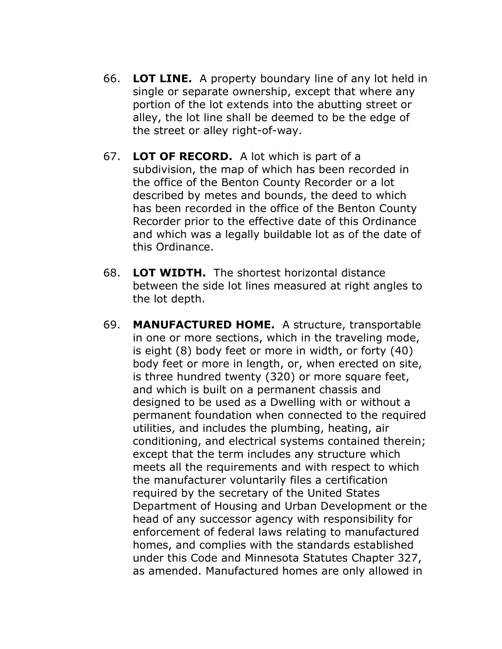- 66. **LOT LINE.** A property boundary line of any lot held in single or separate ownership, except that where any portion of the lot extends into the abutting street or alley, the lot line shall be deemed to be the edge of the street or alley right-of-way.
- 67. **LOT OF RECORD.** A lot which is part of a subdivision, the map of which has been recorded in the office of the Benton County Recorder or a lot described by metes and bounds, the deed to which has been recorded in the office of the Benton County Recorder prior to the effective date of this Ordinance and which was a legally buildable lot as of the date of this Ordinance.
- 68. **LOT WIDTH.** The shortest horizontal distance between the side lot lines measured at right angles to the lot depth.
- 69. **MANUFACTURED HOME.** A structure, transportable in one or more sections, which in the traveling mode, is eight (8) body feet or more in width, or forty (40) body feet or more in length, or, when erected on site, is three hundred twenty (320) or more square feet, and which is built on a permanent chassis and designed to be used as a Dwelling with or without a permanent foundation when connected to the required utilities, and includes the plumbing, heating, air conditioning, and electrical systems contained therein; except that the term includes any structure which meets all the requirements and with respect to which the manufacturer voluntarily files a certification required by the secretary of the United States Department of Housing and Urban Development or the head of any successor agency with responsibility for enforcement of federal laws relating to manufactured homes, and complies with the standards established under this Code and Minnesota Statutes Chapter 327, as amended. Manufactured homes are only allowed in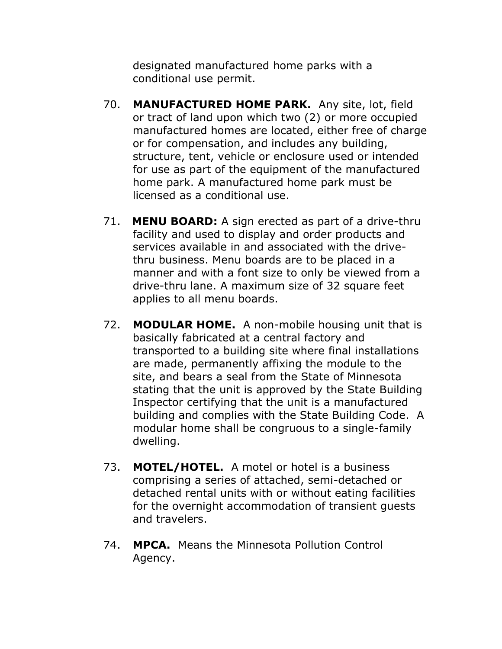designated manufactured home parks with a conditional use permit.

- 70. **MANUFACTURED HOME PARK.** Any site, lot, field or tract of land upon which two (2) or more occupied manufactured homes are located, either free of charge or for compensation, and includes any building, structure, tent, vehicle or enclosure used or intended for use as part of the equipment of the manufactured home park. A manufactured home park must be licensed as a conditional use.
- 71. **MENU BOARD:** A sign erected as part of a drive-thru facility and used to display and order products and services available in and associated with the drivethru business. Menu boards are to be placed in a manner and with a font size to only be viewed from a drive-thru lane. A maximum size of 32 square feet applies to all menu boards.
- 72. **MODULAR HOME.** A non-mobile housing unit that is basically fabricated at a central factory and transported to a building site where final installations are made, permanently affixing the module to the site, and bears a seal from the State of Minnesota stating that the unit is approved by the State Building Inspector certifying that the unit is a manufactured building and complies with the State Building Code. A modular home shall be congruous to a single-family dwelling.
- 73. **MOTEL/HOTEL.** A motel or hotel is a business comprising a series of attached, semi-detached or detached rental units with or without eating facilities for the overnight accommodation of transient guests and travelers.
- 74. **MPCA.** Means the Minnesota Pollution Control Agency.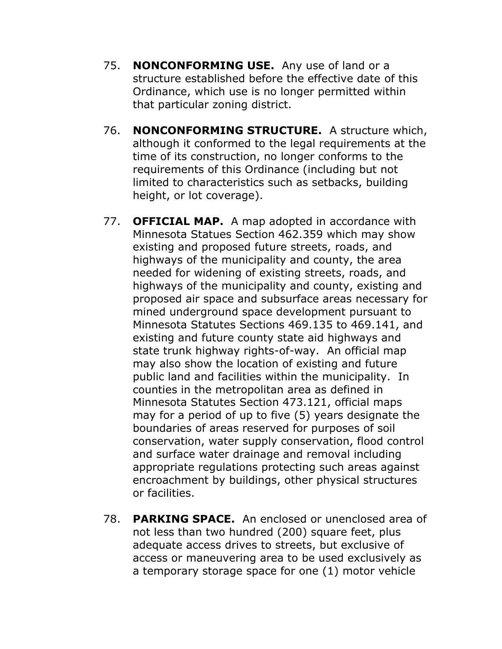- 75. **NONCONFORMING USE.** Any use of land or a structure established before the effective date of this Ordinance, which use is no longer permitted within that particular zoning district.
- 76. **NONCONFORMING STRUCTURE.** A structure which, although it conformed to the legal requirements at the time of its construction, no longer conforms to the requirements of this Ordinance (including but not limited to characteristics such as setbacks, building height, or lot coverage).
- 77. **OFFICIAL MAP.** A map adopted in accordance with Minnesota Statues Section 462.359 which may show existing and proposed future streets, roads, and highways of the municipality and county, the area needed for widening of existing streets, roads, and highways of the municipality and county, existing and proposed air space and subsurface areas necessary for mined underground space development pursuant to Minnesota Statutes Sections 469.135 to 469.141, and existing and future county state aid highways and state trunk highway rights-of-way. An official map may also show the location of existing and future public land and facilities within the municipality. In counties in the metropolitan area as defined in Minnesota Statutes Section 473.121, official maps may for a period of up to five (5) years designate the boundaries of areas reserved for purposes of soil conservation, water supply conservation, flood control and surface water drainage and removal including appropriate regulations protecting such areas against encroachment by buildings, other physical structures or facilities.
- 78. **PARKING SPACE.** An enclosed or unenclosed area of not less than two hundred (200) square feet, plus adequate access drives to streets, but exclusive of access or maneuvering area to be used exclusively as a temporary storage space for one (1) motor vehicle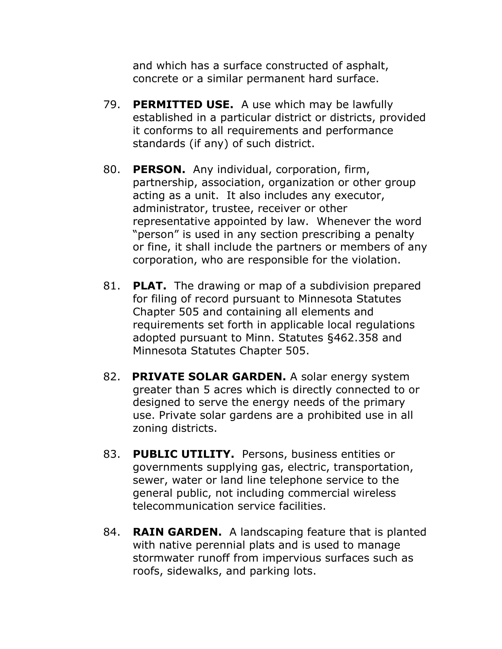and which has a surface constructed of asphalt, concrete or a similar permanent hard surface.

- 79. **PERMITTED USE.** A use which may be lawfully established in a particular district or districts, provided it conforms to all requirements and performance standards (if any) of such district.
- 80. **PERSON.** Any individual, corporation, firm, partnership, association, organization or other group acting as a unit. It also includes any executor, administrator, trustee, receiver or other representative appointed by law. Whenever the word "person" is used in any section prescribing a penalty or fine, it shall include the partners or members of any corporation, who are responsible for the violation.
- 81. **PLAT.** The drawing or map of a subdivision prepared for filing of record pursuant to Minnesota Statutes Chapter 505 and containing all elements and requirements set forth in applicable local regulations adopted pursuant to Minn. Statutes §462.358 and Minnesota Statutes Chapter 505.
- 82. **PRIVATE SOLAR GARDEN.** A solar energy system greater than 5 acres which is directly connected to or designed to serve the energy needs of the primary use. Private solar gardens are a prohibited use in all zoning districts.
- 83. **PUBLIC UTILITY.** Persons, business entities or governments supplying gas, electric, transportation, sewer, water or land line telephone service to the general public, not including commercial wireless telecommunication service facilities.
- 84. **RAIN GARDEN.** A landscaping feature that is planted with native perennial plats and is used to manage stormwater runoff from impervious surfaces such as roofs, sidewalks, and parking lots.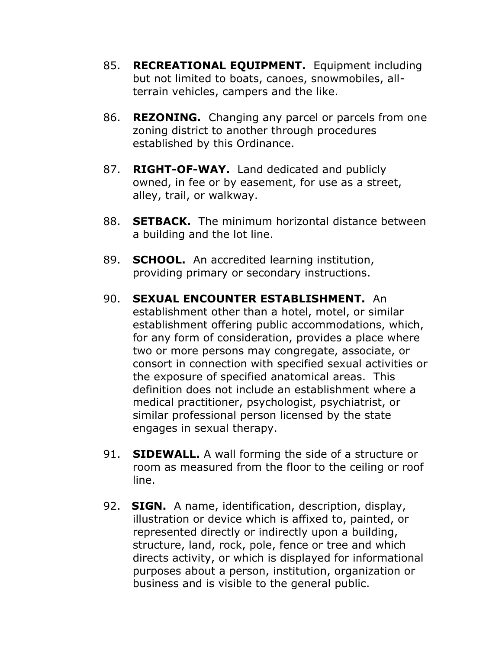- 85. **RECREATIONAL EQUIPMENT.** Equipment including but not limited to boats, canoes, snowmobiles, allterrain vehicles, campers and the like.
- 86. **REZONING.** Changing any parcel or parcels from one zoning district to another through procedures established by this Ordinance.
- 87. **RIGHT-OF-WAY.** Land dedicated and publicly owned, in fee or by easement, for use as a street, alley, trail, or walkway.
- 88. **SETBACK.** The minimum horizontal distance between a building and the lot line.
- 89. **SCHOOL.** An accredited learning institution, providing primary or secondary instructions.
- 90. **SEXUAL ENCOUNTER ESTABLISHMENT.** An establishment other than a hotel, motel, or similar establishment offering public accommodations, which, for any form of consideration, provides a place where two or more persons may congregate, associate, or consort in connection with specified sexual activities or the exposure of specified anatomical areas. This definition does not include an establishment where a medical practitioner, psychologist, psychiatrist, or similar professional person licensed by the state engages in sexual therapy.
- 91. **SIDEWALL.** A wall forming the side of a structure or room as measured from the floor to the ceiling or roof line.
- 92. **SIGN.** A name, identification, description, display, illustration or device which is affixed to, painted, or represented directly or indirectly upon a building, structure, land, rock, pole, fence or tree and which directs activity, or which is displayed for informational purposes about a person, institution, organization or business and is visible to the general public.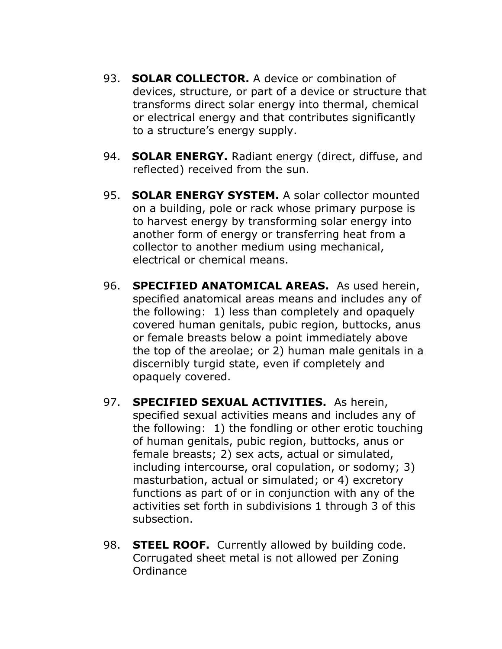- 93. **SOLAR COLLECTOR.** A device or combination of devices, structure, or part of a device or structure that transforms direct solar energy into thermal, chemical or electrical energy and that contributes significantly to a structure's energy supply.
- 94. **SOLAR ENERGY.** Radiant energy (direct, diffuse, and reflected) received from the sun.
- 95. **SOLAR ENERGY SYSTEM.** A solar collector mounted on a building, pole or rack whose primary purpose is to harvest energy by transforming solar energy into another form of energy or transferring heat from a collector to another medium using mechanical, electrical or chemical means.
- 96. **SPECIFIED ANATOMICAL AREAS.** As used herein, specified anatomical areas means and includes any of the following: 1) less than completely and opaquely covered human genitals, pubic region, buttocks, anus or female breasts below a point immediately above the top of the areolae; or 2) human male genitals in a discernibly turgid state, even if completely and opaquely covered.
- 97. **SPECIFIED SEXUAL ACTIVITIES.** As herein, specified sexual activities means and includes any of the following: 1) the fondling or other erotic touching of human genitals, pubic region, buttocks, anus or female breasts; 2) sex acts, actual or simulated, including intercourse, oral copulation, or sodomy; 3) masturbation, actual or simulated; or 4) excretory functions as part of or in conjunction with any of the activities set forth in subdivisions 1 through 3 of this subsection.
- 98. **STEEL ROOF.** Currently allowed by building code. Corrugated sheet metal is not allowed per Zoning Ordinance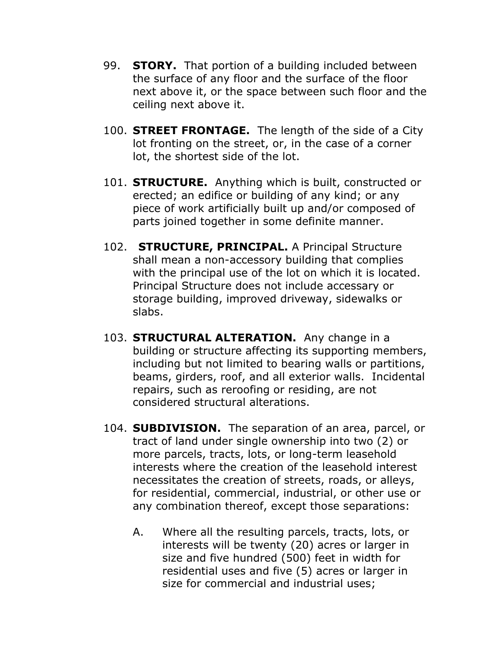- 99. **STORY.** That portion of a building included between the surface of any floor and the surface of the floor next above it, or the space between such floor and the ceiling next above it.
- 100. **STREET FRONTAGE.** The length of the side of a City lot fronting on the street, or, in the case of a corner lot, the shortest side of the lot.
- 101. **STRUCTURE.** Anything which is built, constructed or erected; an edifice or building of any kind; or any piece of work artificially built up and/or composed of parts joined together in some definite manner.
- 102. **STRUCTURE, PRINCIPAL.** A Principal Structure shall mean a non-accessory building that complies with the principal use of the lot on which it is located. Principal Structure does not include accessary or storage building, improved driveway, sidewalks or slabs.
- 103. **STRUCTURAL ALTERATION.** Any change in a building or structure affecting its supporting members, including but not limited to bearing walls or partitions, beams, girders, roof, and all exterior walls. Incidental repairs, such as reroofing or residing, are not considered structural alterations.
- 104. **SUBDIVISION.** The separation of an area, parcel, or tract of land under single ownership into two (2) or more parcels, tracts, lots, or long-term leasehold interests where the creation of the leasehold interest necessitates the creation of streets, roads, or alleys, for residential, commercial, industrial, or other use or any combination thereof, except those separations:
	- A. Where all the resulting parcels, tracts, lots, or interests will be twenty (20) acres or larger in size and five hundred (500) feet in width for residential uses and five (5) acres or larger in size for commercial and industrial uses;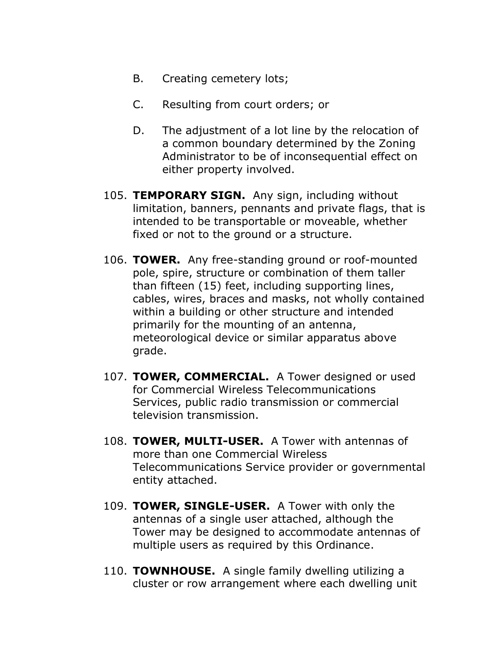- B. Creating cemetery lots;
- C. Resulting from court orders; or
- D. The adjustment of a lot line by the relocation of a common boundary determined by the Zoning Administrator to be of inconsequential effect on either property involved.
- 105. **TEMPORARY SIGN.** Any sign, including without limitation, banners, pennants and private flags, that is intended to be transportable or moveable, whether fixed or not to the ground or a structure.
- 106. **TOWER.** Any free-standing ground or roof-mounted pole, spire, structure or combination of them taller than fifteen (15) feet, including supporting lines, cables, wires, braces and masks, not wholly contained within a building or other structure and intended primarily for the mounting of an antenna, meteorological device or similar apparatus above grade.
- 107. **TOWER, COMMERCIAL.** A Tower designed or used for Commercial Wireless Telecommunications Services, public radio transmission or commercial television transmission.
- 108. **TOWER, MULTI-USER.** A Tower with antennas of more than one Commercial Wireless Telecommunications Service provider or governmental entity attached.
- 109. **TOWER, SINGLE-USER.** A Tower with only the antennas of a single user attached, although the Tower may be designed to accommodate antennas of multiple users as required by this Ordinance.
- 110. **TOWNHOUSE.** A single family dwelling utilizing a cluster or row arrangement where each dwelling unit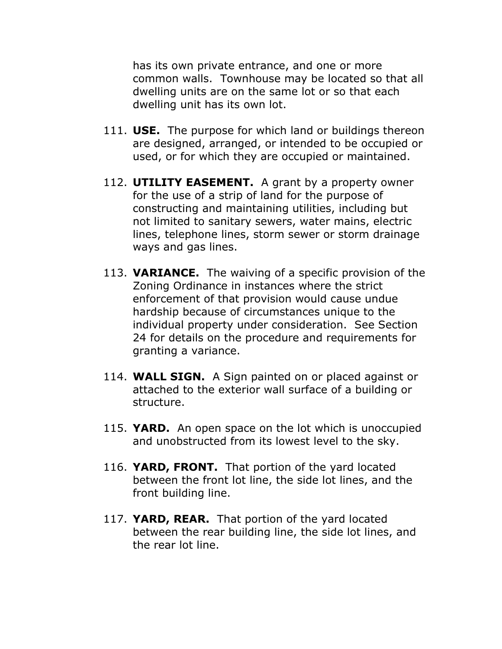has its own private entrance, and one or more common walls. Townhouse may be located so that all dwelling units are on the same lot or so that each dwelling unit has its own lot.

- 111. **USE.** The purpose for which land or buildings thereon are designed, arranged, or intended to be occupied or used, or for which they are occupied or maintained.
- 112. **UTILITY EASEMENT.** A grant by a property owner for the use of a strip of land for the purpose of constructing and maintaining utilities, including but not limited to sanitary sewers, water mains, electric lines, telephone lines, storm sewer or storm drainage ways and gas lines.
- 113. **VARIANCE.** The waiving of a specific provision of the Zoning Ordinance in instances where the strict enforcement of that provision would cause undue hardship because of circumstances unique to the individual property under consideration. See Section 24 for details on the procedure and requirements for granting a variance.
- 114. **WALL SIGN.** A Sign painted on or placed against or attached to the exterior wall surface of a building or structure.
- 115. **YARD.** An open space on the lot which is unoccupied and unobstructed from its lowest level to the sky.
- 116. **YARD, FRONT.** That portion of the yard located between the front lot line, the side lot lines, and the front building line.
- 117. **YARD, REAR.** That portion of the yard located between the rear building line, the side lot lines, and the rear lot line.